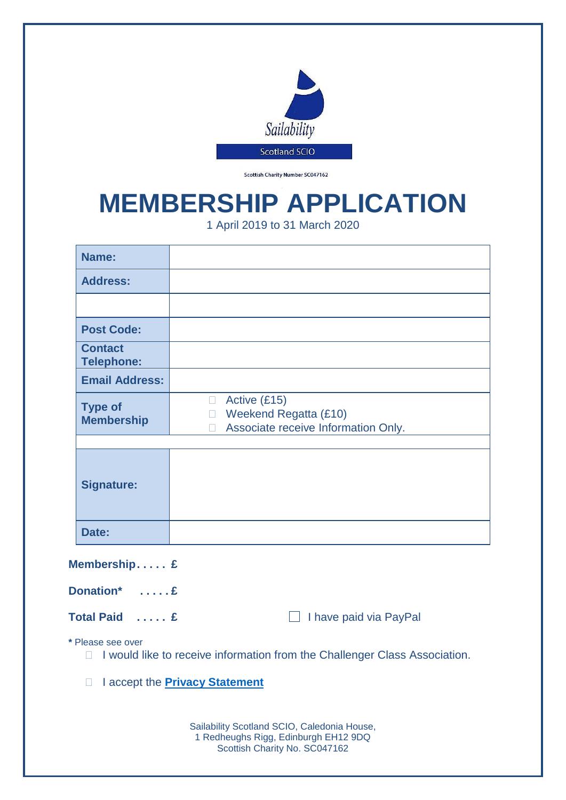

Scottish Charity Number SC047162

## **MEMBERSHIP APPLICATION**

1 April 2019 to 31 March 2020

| Name:                                                                                                     |                                                                                                                   |  |
|-----------------------------------------------------------------------------------------------------------|-------------------------------------------------------------------------------------------------------------------|--|
| <b>Address:</b>                                                                                           |                                                                                                                   |  |
|                                                                                                           |                                                                                                                   |  |
| <b>Post Code:</b>                                                                                         |                                                                                                                   |  |
| <b>Contact</b><br><b>Telephone:</b>                                                                       |                                                                                                                   |  |
| <b>Email Address:</b>                                                                                     |                                                                                                                   |  |
| <b>Type of</b><br><b>Membership</b>                                                                       | Active (£15)<br>$\Box$<br><b>Weekend Regatta (£10)</b><br>$\Box$<br>Associate receive Information Only.<br>$\Box$ |  |
|                                                                                                           |                                                                                                                   |  |
| <b>Signature:</b>                                                                                         |                                                                                                                   |  |
| Date:                                                                                                     |                                                                                                                   |  |
| Membership £                                                                                              |                                                                                                                   |  |
| Donation* £                                                                                               |                                                                                                                   |  |
| Total Paid  £                                                                                             | I have paid via PayPal                                                                                            |  |
| * Please see over<br>I would like to receive information from the Challenger Class Association.<br>$\Box$ |                                                                                                                   |  |
| I accept the <b>Privacy Statement</b>                                                                     |                                                                                                                   |  |
|                                                                                                           |                                                                                                                   |  |
|                                                                                                           | Sailability Scotland SCIO, Caledonia House,<br>1 Redheughs Rigg, Edinburgh EH12 9DQ                               |  |

Scottish Charity No. SC047162